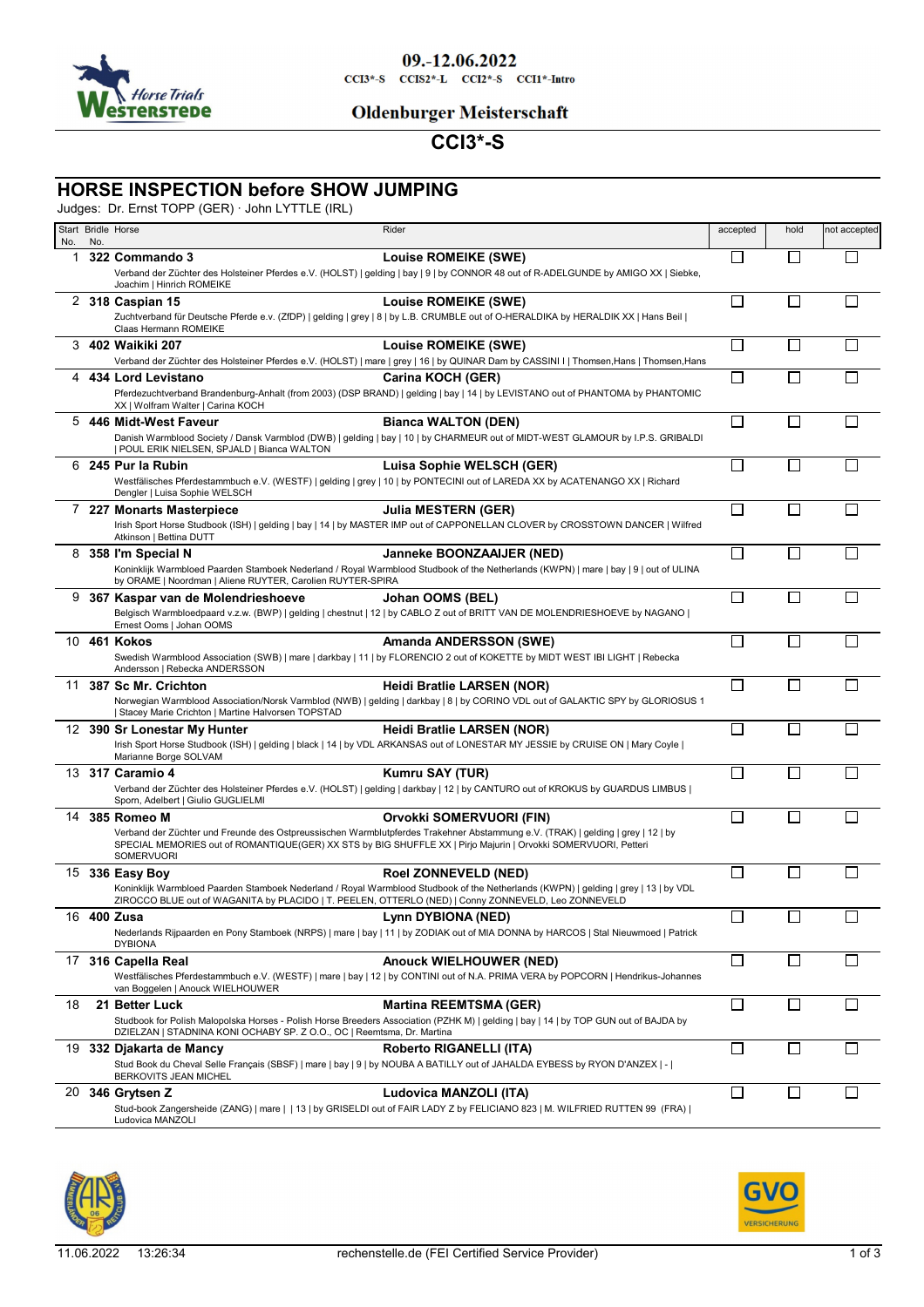

#### 09.-12.06.2022  $CCI3*-S$   $CCI52*-L$   $CCI2*-S$   $CCI1*-Intro$

### **Oldenburger Meisterschaft**

# **CCI3\*-S**

## **HORSE INSPECTION before SHOW JUMPING**

Judges: Dr. Ernst TOPP (GER) · John LYTTLE (IRL)

| No. | No. | Start Bridle Horse                                                                                                     | Rider                                                                                                                                                                                                                                                                         | accepted | hold         | not accepted |
|-----|-----|------------------------------------------------------------------------------------------------------------------------|-------------------------------------------------------------------------------------------------------------------------------------------------------------------------------------------------------------------------------------------------------------------------------|----------|--------------|--------------|
| 1   |     | 322 Commando 3                                                                                                         | Louise ROMEIKE (SWE)                                                                                                                                                                                                                                                          | П        |              |              |
|     |     | Joachim   Hinrich ROMEIKE                                                                                              | Verband der Züchter des Holsteiner Pferdes e.V. (HOLST)   gelding   bay   9   by CONNOR 48 out of R-ADELGUNDE by AMIGO XX   Siebke,                                                                                                                                           |          |              |              |
| 2   |     | 318 Caspian 15                                                                                                         | <b>Louise ROMEIKE (SWE)</b><br>Zuchtverband für Deutsche Pferde e.v. (ZfDP)   gelding   grey   8   by L.B. CRUMBLE out of O-HERALDIKA by HERALDIK XX   Hans Beil                                                                                                              | П        |              |              |
|     |     | Claas Hermann ROMEIKE<br>3 402 Waikiki 207                                                                             | Louise ROMEIKE (SWE)                                                                                                                                                                                                                                                          | П        | $\mathsf{L}$ |              |
| 4   |     | 434 Lord Levistano                                                                                                     | Verband der Züchter des Holsteiner Pferdes e.V. (HOLST)   mare   grey   16   by QUINAR Dam by CASSINI I   Thomsen, Hans   Thomsen, Hans<br>Carina KOCH (GER)                                                                                                                  | П        |              |              |
|     |     | XX   Wolfram Walter   Carina KOCH                                                                                      | Pferdezuchtverband Brandenburg-Anhalt (from 2003) (DSP BRAND)   gelding   bay   14   by LEVISTANO out of PHANTOMA by PHANTOMIC                                                                                                                                                |          |              |              |
|     |     | 5 446 Midt-West Faveur<br>  POUL ERIK NIELSEN, SPJALD   Bianca WALTON                                                  | <b>Bianca WALTON (DEN)</b><br>Danish Warmblood Society / Dansk Varmblod (DWB)   gelding   bay   10   by CHARMEUR out of MIDT-WEST GLAMOUR by I.P.S. GRIBALDI                                                                                                                  | П        |              |              |
|     |     | 6 245 Pur la Rubin                                                                                                     | Luisa Sophie WELSCH (GER)                                                                                                                                                                                                                                                     | П        |              |              |
|     |     | Dengler   Luisa Sophie WELSCH                                                                                          | Westfälisches Pferdestammbuch e.V. (WESTF)   gelding   grey   10   by PONTECINI out of LAREDA XX by ACATENANGO XX   Richard                                                                                                                                                   |          |              |              |
| 7   |     | 227 Monarts Masterpiece                                                                                                | <b>Julia MESTERN (GER)</b>                                                                                                                                                                                                                                                    | П        |              |              |
|     |     | Atkinson   Bettina DUTT                                                                                                | Irish Sport Horse Studbook (ISH)   gelding   bay   14   by MASTER IMP out of CAPPONELLAN CLOVER by CROSSTOWN DANCER   Wilfred                                                                                                                                                 |          |              |              |
| 8   |     | 358 I'm Special N<br>by ORAME   Noordman   Aliene RUYTER, Carolien RUYTER-SPIRA                                        | Janneke BOONZAAIJER (NED)<br>Koninklijk Warmbloed Paarden Stamboek Nederland / Royal Warmblood Studbook of the Netherlands (KWPN)   mare   bay   9   out of ULINA                                                                                                             | П        |              |              |
|     |     | 9 367 Kaspar van de Molendrieshoeve                                                                                    | Johan OOMS (BEL)                                                                                                                                                                                                                                                              | П        | $\mathsf{L}$ |              |
|     |     | Ernest Ooms   Johan OOMS                                                                                               | Belgisch Warmbloedpaard v.z.w. (BWP)   gelding   chestnut   12   by CABLO Z out of BRITT VAN DE MOLENDRIESHOEVE by NAGANO                                                                                                                                                     |          |              |              |
|     |     | 10 461 Kokos                                                                                                           | Amanda ANDERSSON (SWE)                                                                                                                                                                                                                                                        | П        |              |              |
|     |     | Andersson   Rebecka ANDERSSON                                                                                          | Swedish Warmblood Association (SWB)   mare   darkbay   11   by FLORENCIO 2 out of KOKETTE by MIDT WEST IBI LIGHT   Rebecka                                                                                                                                                    |          |              |              |
|     |     | 11 387 Sc Mr. Crichton<br>  Stacey Marie Crichton   Martine Halvorsen TOPSTAD                                          | Heidi Bratlie LARSEN (NOR)<br>Norwegian Warmblood Association/Norsk Varmblod (NWB)   gelding   darkbay   8   by CORINO VDL out of GALAKTIC SPY by GLORIOSUS 1                                                                                                                 | П        | П            |              |
|     |     | 12 390 Sr Lonestar My Hunter<br>Marianne Borge SOLVAM                                                                  | Heidi Bratlie LARSEN (NOR)<br>Irish Sport Horse Studbook (ISH)   gelding   black   14   by VDL ARKANSAS out of LONESTAR MY JESSIE by CRUISE ON   Mary Coyle                                                                                                                   | $\Box$   |              |              |
|     |     | 13 317 Caramio 4                                                                                                       | Kumru SAY (TUR)                                                                                                                                                                                                                                                               | П        |              |              |
|     |     | Sporn, Adelbert   Giulio GUGLIELMI                                                                                     | Verband der Züchter des Holsteiner Pferdes e.V. (HOLST)   gelding   darkbay   12   by CANTURO out of KROKUS by GUARDUS LIMBUS                                                                                                                                                 |          |              |              |
|     |     | 14 385 Romeo M<br>SOMERVUORI                                                                                           | Orvokki SOMERVUORI (FIN)<br>Verband der Züchter und Freunde des Ostpreussischen Warmblutpferdes Trakehner Abstammung e.V. (TRAK)   gelding   grey   12   by<br>SPECIAL MEMORIES out of ROMANTIQUE(GER) XX STS by BIG SHUFFLE XX   Pirjo Majurin   Orvokki SOMERVUORI, Petteri | L        |              |              |
|     |     | 15 336 Easy Boy<br>ZIROCCO BLUE out of WAGANITA by PLACIDO   T. PEELEN, OTTERLO (NED)   Conny ZONNEVELD, Leo ZONNEVELD | <b>Roel ZONNEVELD (NED)</b><br>Koninklijk Warmbloed Paarden Stamboek Nederland / Royal Warmblood Studbook of the Netherlands (KWPN)   gelding   grey   13   by VDL                                                                                                            | Г        |              |              |
| 16  |     | 400 Zusa<br><b>DYBIONA</b>                                                                                             | Lynn DYBIONA (NED)<br>Nederlands Rijpaarden en Pony Stamboek (NRPS)   mare   bay   11   by ZODIAK out of MIA DONNA by HARCOS   Stal Nieuwmoed   Patrick                                                                                                                       | $\Box$   |              |              |
|     |     | 17 316 Capella Real<br>van Boggelen   Anouck WIELHOUWER                                                                | <b>Anouck WIELHOUWER (NED)</b><br>Westfälisches Pferdestammbuch e.V. (WESTF)   mare   bay   12   by CONTINI out of N.A. PRIMA VERA by POPCORN   Hendrikus-Johannes                                                                                                            | П        | $\Box$       |              |
| 18  |     | 21 Better Luck<br>DZIELZAN   STADNINA KONI OCHABY SP. Z O.O., OC   Reemtsma, Dr. Martina                               | <b>Martina REEMTSMA (GER)</b><br>Studbook for Polish Malopolska Horses - Polish Horse Breeders Association (PZHK M)   gelding   bay   14   by TOP GUN out of BAJDA by                                                                                                         | $\Box$   |              |              |
|     |     | 19 332 Djakarta de Mancy<br>BERKOVITS JEAN MICHEL                                                                      | Roberto RIGANELLI (ITA)<br>Stud Book du Cheval Selle Français (SBSF)   mare   bay   9   by NOUBA A BATILLY out of JAHALDA EYBESS by RYON D'ANZEX   -                                                                                                                          | □        | $\mathsf{L}$ |              |
| 20  |     | 346 Grytsen Z<br>Ludovica MANZOLI                                                                                      | Ludovica MANZOLI (ITA)<br>Stud-book Zangersheide (ZANG)   mare     13   by GRISELDI out of FAIR LADY Z by FELICIANO 823   M. WILFRIED RUTTEN 99 (FRA)                                                                                                                         | П        |              |              |



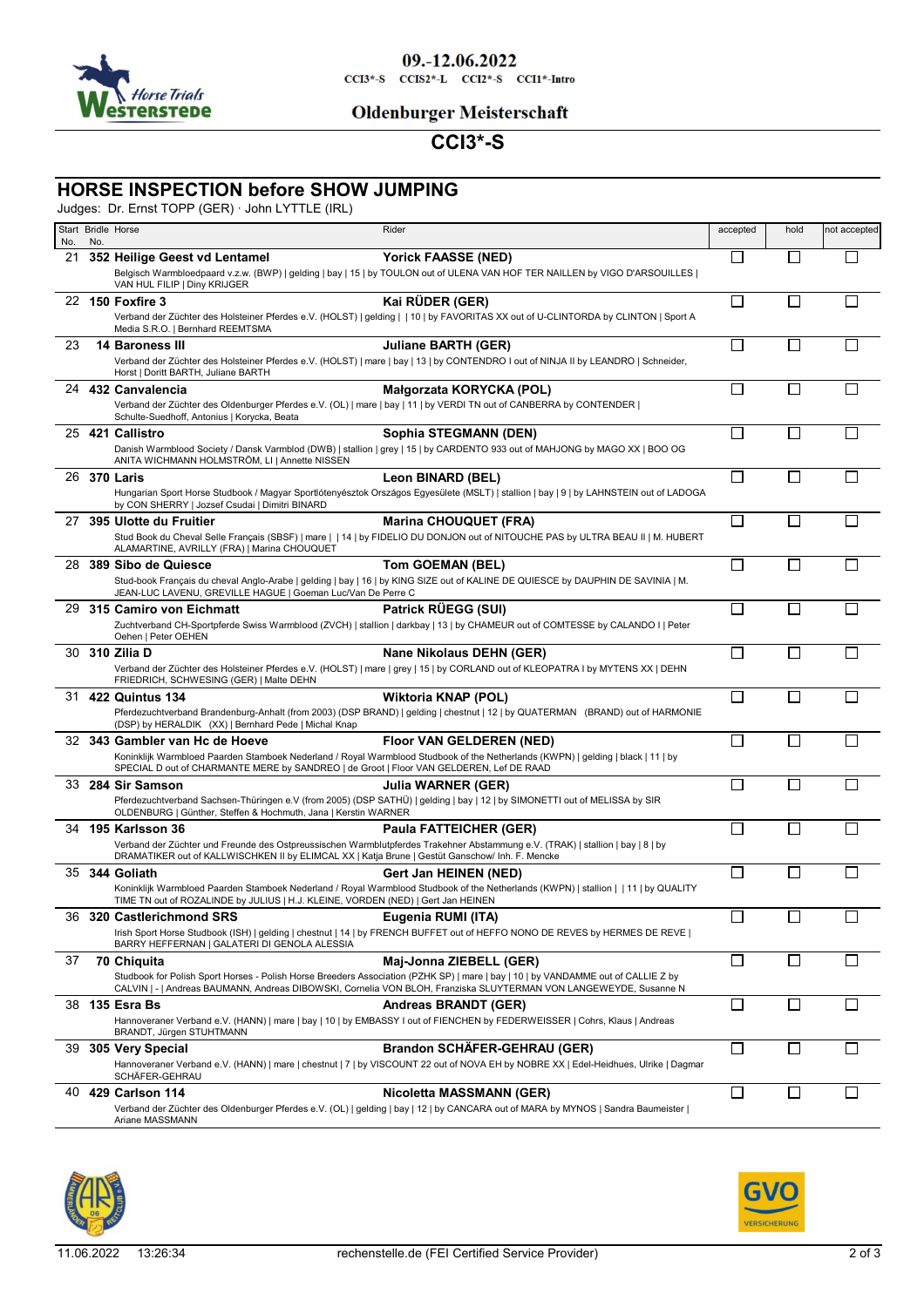

09.-12.06.2022  $CCI3*-S$   $CCI52*-L$   $CCI2*-S$   $CCI1*-Intro$ 

### **Oldenburger Meisterschaft**

# **CCI3\*-S**

## **HORSE INSPECTION before SHOW JUMPING**

Judges: Dr. Ernst TOPP (GER) · John LYTTLE (IRL)

| No. | No. | Start Bridle Horse                                                                                                                                                  | Rider                                                                                                                                                                                                                                                  | accepted     | hold         | not accepted |
|-----|-----|---------------------------------------------------------------------------------------------------------------------------------------------------------------------|--------------------------------------------------------------------------------------------------------------------------------------------------------------------------------------------------------------------------------------------------------|--------------|--------------|--------------|
| 21  |     | 352 Heilige Geest vd Lentamel                                                                                                                                       | <b>Yorick FAASSE (NED)</b>                                                                                                                                                                                                                             | $\mathbf{I}$ |              |              |
|     |     | VAN HUL FILIP   Diny KRIJGER                                                                                                                                        | Belgisch Warmbloedpaard v.z.w. (BWP)   gelding   bay   15   by TOULON out of ULENA VAN HOF TER NAILLEN by VIGO D'ARSOUILLES                                                                                                                            |              |              |              |
|     |     | 22 150 Foxfire 3                                                                                                                                                    | Kai RÜDER (GER)                                                                                                                                                                                                                                        | П            |              |              |
|     |     | Media S.R.O.   Bernhard REEMTSMA                                                                                                                                    | Verband der Züchter des Holsteiner Pferdes e.V. (HOLST)   gelding     10   by FAVORITAS XX out of U-CLINTORDA by CLINTON   Sport A                                                                                                                     |              |              |              |
| 23  |     | <b>14 Baroness III</b>                                                                                                                                              | <b>Juliane BARTH (GER)</b>                                                                                                                                                                                                                             | П            |              |              |
|     |     | Horst   Doritt BARTH, Juliane BARTH                                                                                                                                 | Verband der Züchter des Holsteiner Pferdes e.V. (HOLST)   mare   bay   13   by CONTENDRO I out of NINJA II by LEANDRO   Schneider,                                                                                                                     |              |              |              |
|     |     | 24 432 Canvalencia                                                                                                                                                  | Małgorzata KORYCKA (POL)                                                                                                                                                                                                                               | П            | $\Box$       |              |
|     |     | Verband der Züchter des Oldenburger Pferdes e.V. (OL)   mare   bay   11   by VERDI TN out of CANBERRA by CONTENDER  <br>Schulte-Suedhoff, Antonius   Korycka, Beata |                                                                                                                                                                                                                                                        |              |              |              |
|     |     | 25 421 Callistro                                                                                                                                                    | Sophia STEGMANN (DEN)                                                                                                                                                                                                                                  | П            |              |              |
|     |     | ANITA WICHMANN HOLMSTRÖM, LI   Annette NISSEN                                                                                                                       | Danish Warmblood Society / Dansk Varmblod (DWB)   stallion   grey   15   by CARDENTO 933 out of MAHJONG by MAGO XX   BOO OG                                                                                                                            |              |              |              |
|     |     | 26 370 Laris                                                                                                                                                        | Leon BINARD (BEL)                                                                                                                                                                                                                                      | П            |              |              |
|     |     | by CON SHERRY   Jozsef Csudai   Dimitri BINARD                                                                                                                      | Hungarian Sport Horse Studbook / Magyar Sportlótenyésztok Országos Egyesülete (MSLT)   stallion   bay   9   by LAHNSTEIN out of LADOGA                                                                                                                 |              |              |              |
| 27  |     | 395 Ulotte du Fruitier                                                                                                                                              | <b>Marina CHOUQUET (FRA)</b>                                                                                                                                                                                                                           | Г            |              |              |
|     |     | ALAMARTINE, AVRILLY (FRA)   Marina CHOUQUET                                                                                                                         | Stud Book du Cheval Selle Français (SBSF)   mare     14   by FIDELIO DU DONJON out of NITOUCHE PAS by ULTRA BEAU II   M. HUBERT                                                                                                                        |              |              |              |
| 28  |     | 389 Sibo de Quiesce                                                                                                                                                 | Tom GOEMAN (BEL)                                                                                                                                                                                                                                       | $\Box$       |              |              |
|     |     | JEAN-LUC LAVENU, GREVILLE HAGUE   Goeman Luc/Van De Perre C                                                                                                         | Stud-book Français du cheval Anglo-Arabe   gelding   bay   16   by KING SIZE out of KALINE DE QUIESCE by DAUPHIN DE SAVINIA   M.                                                                                                                       |              |              |              |
|     |     | 29 315 Camiro von Eichmatt                                                                                                                                          | Patrick RÜEGG (SUI)                                                                                                                                                                                                                                    | П            |              |              |
|     |     | Oehen   Peter OEHEN                                                                                                                                                 | Zuchtverband CH-Sportpferde Swiss Warmblood (ZVCH)   stallion   darkbay   13   by CHAMEUR out of COMTESSE by CALANDO I   Peter                                                                                                                         |              |              |              |
|     |     | 30 310 Zilia D                                                                                                                                                      | Nane Nikolaus DEHN (GER)                                                                                                                                                                                                                               | П            |              |              |
|     |     | FRIEDRICH, SCHWESING (GER)   Malte DEHN                                                                                                                             | Verband der Züchter des Holsteiner Pferdes e.V. (HOLST)   mare   grey   15   by CORLAND out of KLEOPATRA I by MYTENS XX   DEHN                                                                                                                         |              |              |              |
| 31  |     | <b>422 Quintus 134</b>                                                                                                                                              | <b>Wiktoria KNAP (POL)</b>                                                                                                                                                                                                                             | П            |              |              |
|     |     | (DSP) by HERALDIK (XX)   Bernhard Pede   Michal Knap                                                                                                                | Pferdezuchtverband Brandenburg-Anhalt (from 2003) (DSP BRAND)   gelding   chestnut   12   by QUATERMAN (BRAND) out of HARMONIE                                                                                                                         |              |              |              |
|     |     | 32 343 Gambler van Hc de Hoeve                                                                                                                                      | <b>Floor VAN GELDEREN (NED)</b>                                                                                                                                                                                                                        | П            |              |              |
|     |     | SPECIAL D out of CHARMANTE MERE by SANDREO   de Groot   Floor VAN GELDEREN, Lef DE RAAD                                                                             | Koninklijk Warmbloed Paarden Stamboek Nederland / Royal Warmblood Studbook of the Netherlands (KWPN)   gelding   black   11   by                                                                                                                       |              |              |              |
|     |     | 33 284 Sir Samson                                                                                                                                                   | Julia WARNER (GER)                                                                                                                                                                                                                                     | П            | П            |              |
|     |     | OLDENBURG   Günther, Steffen & Hochmuth, Jana   Kerstin WARNER                                                                                                      | Pferdezuchtverband Sachsen-Thüringen e.V (from 2005) (DSP SATHÜ)   gelding   bay   12   by SIMONETTI out of MELISSA by SIR                                                                                                                             |              |              |              |
| 34  |     | 195 Karlsson 36                                                                                                                                                     | <b>Paula FATTEICHER (GER)</b>                                                                                                                                                                                                                          | П            |              |              |
|     |     | DRAMATIKER out of KALLWISCHKEN II by ELIMCAL XX   Katja Brune   Gestüt Ganschow/ Inh. F. Mencke                                                                     | Verband der Züchter und Freunde des Ostpreussischen Warmblutpferdes Trakehner Abstammung e.V. (TRAK)   stallion   bay   8   by                                                                                                                         |              |              |              |
|     |     | 35 344 Goliath                                                                                                                                                      | Gert Jan HEINEN (NED)                                                                                                                                                                                                                                  | П            |              |              |
|     |     | TIME TN out of ROZALINDE by JULIUS   H.J. KLEINE, VORDEN (NED)   Gert Jan HEINEN                                                                                    | Koninklijk Warmbloed Paarden Stamboek Nederland / Royal Warmblood Studbook of the Netherlands (KWPN)   stallion     11   by QUALITY                                                                                                                    |              |              |              |
|     |     | 36 320 Castlerichmond SRS                                                                                                                                           | Eugenia RUMI (ITA)<br>Irish Sport Horse Studbook (ISH)   gelding   chestnut   14   by FRENCH BUFFET out of HEFFO NONO DE REVES by HERMES DE REVE                                                                                                       | $\Box$       |              |              |
|     |     | BARRY HEFFERNAN   GALATERI DI GENOLA ALESSIA                                                                                                                        |                                                                                                                                                                                                                                                        |              |              |              |
| 37  |     | 70 Chiquita                                                                                                                                                         | Maj-Jonna ZIEBELL (GER)                                                                                                                                                                                                                                | П            | $\Box$       |              |
|     |     |                                                                                                                                                                     | Studbook for Polish Sport Horses - Polish Horse Breeders Association (PZHK SP)   mare   bay   10   by VANDAMME out of CALLIE Z by<br>CALVIN   -   Andreas BAUMANN, Andreas DIBOWSKI, Cornelia VON BLOH, Franziska SLUYTERMAN VON LANGEWEYDE, Susanne N |              |              |              |
| 38  |     | 135 Esra Bs                                                                                                                                                         | <b>Andreas BRANDT (GER)</b>                                                                                                                                                                                                                            | $\mathsf{L}$ |              |              |
|     |     | BRANDT, Jürgen STUHTMANN                                                                                                                                            | Hannoveraner Verband e.V. (HANN)   mare   bay   10   by EMBASSY I out of FIENCHEN by FEDERWEISSER   Cohrs, Klaus   Andreas                                                                                                                             |              |              |              |
|     |     | 39 305 Very Special                                                                                                                                                 | Brandon SCHÄFER-GEHRAU (GER)                                                                                                                                                                                                                           | $\Box$       |              |              |
|     |     | SCHÄFER-GEHRAU                                                                                                                                                      | Hannoveraner Verband e.V. (HANN)   mare   chestnut   7   by VISCOUNT 22 out of NOVA EH by NOBRE XX   Edel-Heidhues, Ulrike   Dagmar                                                                                                                    |              |              |              |
| 40  |     | <b>429 Carlson 114</b>                                                                                                                                              | <b>Nicoletta MASSMANN (GER)</b>                                                                                                                                                                                                                        | П            | $\mathsf{L}$ |              |
|     |     | Ariane MASSMANN                                                                                                                                                     | Verband der Züchter des Oldenburger Pferdes e.V. (OL)   gelding   bay   12   by CANCARA out of MARA by MYNOS   Sandra Baumeister                                                                                                                       |              |              |              |
|     |     |                                                                                                                                                                     |                                                                                                                                                                                                                                                        |              |              |              |